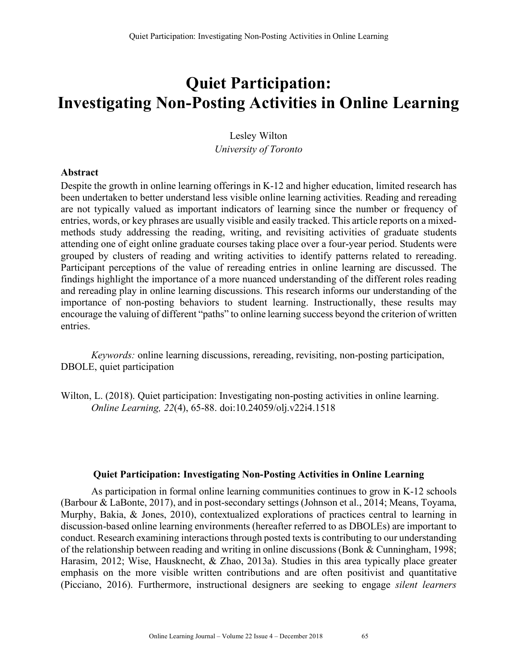# **Quiet Participation: Investigating Non-Posting Activities in Online Learning**

Lesley Wilton *University of Toronto*

#### **Abstract**

Despite the growth in online learning offerings in K-12 and higher education, limited research has been undertaken to better understand less visible online learning activities. Reading and rereading are not typically valued as important indicators of learning since the number or frequency of entries, words, or key phrases are usually visible and easily tracked. This article reports on a mixedmethods study addressing the reading, writing, and revisiting activities of graduate students attending one of eight online graduate courses taking place over a four-year period. Students were grouped by clusters of reading and writing activities to identify patterns related to rereading. Participant perceptions of the value of rereading entries in online learning are discussed. The findings highlight the importance of a more nuanced understanding of the different roles reading and rereading play in online learning discussions. This research informs our understanding of the importance of non-posting behaviors to student learning. Instructionally, these results may encourage the valuing of different "paths" to online learning success beyond the criterion of written entries.

*Keywords:* online learning discussions, rereading, revisiting, non-posting participation, DBOLE, quiet participation

Wilton, L. (2018). Quiet participation: Investigating non-posting activities in online learning. *Online Learning, 22*(4), 65-88. doi:10.24059/olj.v22i4.1518

# **Quiet Participation: Investigating Non-Posting Activities in Online Learning**

As participation in formal online learning communities continues to grow in K-12 schools (Barbour & LaBonte, 2017), and in post-secondary settings (Johnson et al., 2014; Means, Toyama, Murphy, Bakia, & Jones, 2010), contextualized explorations of practices central to learning in discussion-based online learning environments (hereafter referred to as DBOLEs) are important to conduct. Research examining interactions through posted texts is contributing to our understanding of the relationship between reading and writing in online discussions (Bonk & Cunningham, 1998; Harasim, 2012; Wise, Hausknecht, & Zhao, 2013a). Studies in this area typically place greater emphasis on the more visible written contributions and are often positivist and quantitative (Picciano, 2016). Furthermore, instructional designers are seeking to engage *silent learners*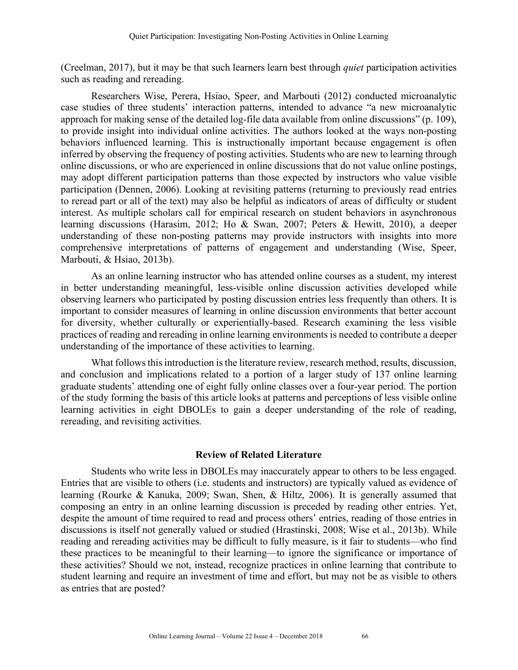(Creelman, 2017), but it may be that such learners learn best through *quiet* participation activities such as reading and rereading.

Researchers Wise, Perera, Hsiao, Speer, and Marbouti (2012) conducted microanalytic case studies of three students' interaction patterns, intended to advance "a new microanalytic approach for making sense of the detailed log-file data available from online discussions" (p. 109), to provide insight into individual online activities. The authors looked at the ways non-posting behaviors influenced learning. This is instructionally important because engagement is often inferred by observing the frequency of posting activities. Students who are new to learning through online discussions, or who are experienced in online discussions that do not value online postings, may adopt different participation patterns than those expected by instructors who value visible participation (Dennen, 2006). Looking at revisiting patterns (returning to previously read entries to reread part or all of the text) may also be helpful as indicators of areas of difficulty or student interest. As multiple scholars call for empirical research on student behaviors in asynchronous learning discussions (Harasim, 2012; Ho & Swan, 2007; Peters & Hewitt, 2010), a deeper understanding of these non-posting patterns may provide instructors with insights into more comprehensive interpretations of patterns of engagement and understanding (Wise, Speer, Marbouti, & Hsiao, 2013b).

As an online learning instructor who has attended online courses as a student, my interest in better understanding meaningful, less-visible online discussion activities developed while observing learners who participated by posting discussion entries less frequently than others. It is important to consider measures of learning in online discussion environments that better account for diversity, whether culturally or experientially-based. Research examining the less visible practices of reading and rereading in online learning environments is needed to contribute a deeper understanding of the importance of these activities to learning.

What follows this introduction is the literature review, research method, results, discussion, and conclusion and implications related to a portion of a larger study of 137 online learning graduate students' attending one of eight fully online classes over a four-year period. The portion of the study forming the basis of this article looks at patterns and perceptions of less visible online learning activities in eight DBOLEs to gain a deeper understanding of the role of reading, rereading, and revisiting activities.

#### **Review of Related Literature**

Students who write less in DBOLEs may inaccurately appear to others to be less engaged. Entries that are visible to others (i.e. students and instructors) are typically valued as evidence of learning (Rourke & Kanuka, 2009; Swan, Shen, & Hiltz, 2006). It is generally assumed that composing an entry in an online learning discussion is preceded by reading other entries. Yet, despite the amount of time required to read and process others' entries, reading of those entries in discussions is itself not generally valued or studied (Hrastinski, 2008; Wise et al., 2013b). While reading and rereading activities may be difficult to fully measure, is it fair to students—who find these practices to be meaningful to their learning—to ignore the significance or importance of these activities? Should we not, instead, recognize practices in online learning that contribute to student learning and require an investment of time and effort, but may not be as visible to others as entries that are posted?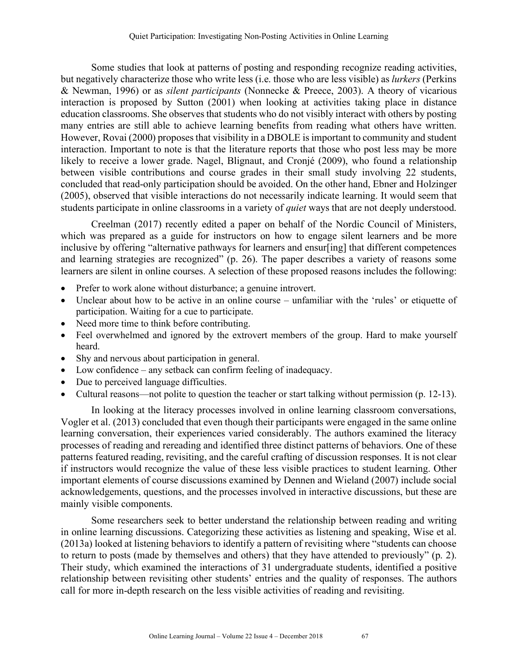Some studies that look at patterns of posting and responding recognize reading activities, but negatively characterize those who write less (i.e. those who are less visible) as *lurkers* (Perkins & Newman, 1996) or as *silent participants* (Nonnecke & Preece, 2003). A theory of vicarious interaction is proposed by Sutton (2001) when looking at activities taking place in distance education classrooms. She observes that students who do not visibly interact with others by posting many entries are still able to achieve learning benefits from reading what others have written. However, Rovai (2000) proposes that visibility in a DBOLE is important to community and student interaction. Important to note is that the literature reports that those who post less may be more likely to receive a lower grade. Nagel, Blignaut, and Cronjé (2009), who found a relationship between visible contributions and course grades in their small study involving 22 students, concluded that read-only participation should be avoided. On the other hand, Ebner and Holzinger (2005), observed that visible interactions do not necessarily indicate learning. It would seem that students participate in online classrooms in a variety of *quiet* ways that are not deeply understood.

Creelman (2017) recently edited a paper on behalf of the Nordic Council of Ministers, which was prepared as a guide for instructors on how to engage silent learners and be more inclusive by offering "alternative pathways for learners and ensur[ing] that different competences and learning strategies are recognized" (p. 26). The paper describes a variety of reasons some learners are silent in online courses. A selection of these proposed reasons includes the following:

- Prefer to work alone without disturbance; a genuine introvert.
- Unclear about how to be active in an online course unfamiliar with the 'rules' or etiquette of participation. Waiting for a cue to participate.
- Need more time to think before contributing.
- Feel overwhelmed and ignored by the extrovert members of the group. Hard to make yourself heard.
- Shy and nervous about participation in general.
- Low confidence any setback can confirm feeling of inadequacy.
- Due to perceived language difficulties.
- Cultural reasons—not polite to question the teacher or start talking without permission (p. 12-13).

In looking at the literacy processes involved in online learning classroom conversations, Vogler et al. (2013) concluded that even though their participants were engaged in the same online learning conversation, their experiences varied considerably. The authors examined the literacy processes of reading and rereading and identified three distinct patterns of behaviors. One of these patterns featured reading, revisiting, and the careful crafting of discussion responses. It is not clear if instructors would recognize the value of these less visible practices to student learning. Other important elements of course discussions examined by Dennen and Wieland (2007) include social acknowledgements, questions, and the processes involved in interactive discussions, but these are mainly visible components.

Some researchers seek to better understand the relationship between reading and writing in online learning discussions. Categorizing these activities as listening and speaking, Wise et al. (2013a) looked at listening behaviors to identify a pattern of revisiting where "students can choose to return to posts (made by themselves and others) that they have attended to previously" (p. 2). Their study, which examined the interactions of 31 undergraduate students, identified a positive relationship between revisiting other students' entries and the quality of responses. The authors call for more in-depth research on the less visible activities of reading and revisiting.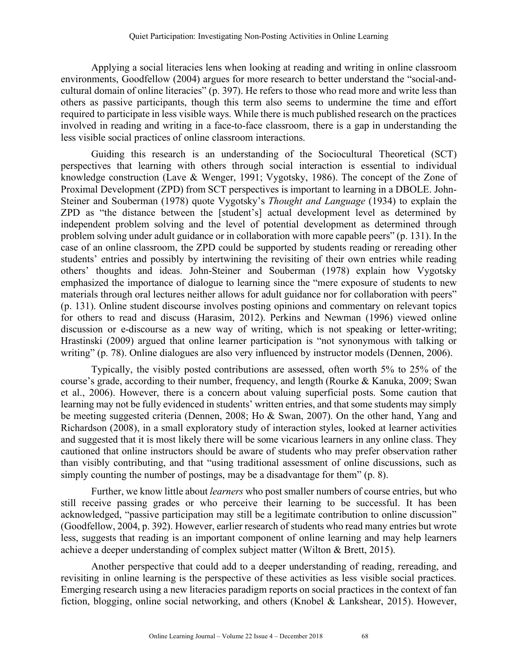Applying a social literacies lens when looking at reading and writing in online classroom environments, Goodfellow (2004) argues for more research to better understand the "social-andcultural domain of online literacies" (p. 397). He refers to those who read more and write less than others as passive participants, though this term also seems to undermine the time and effort required to participate in less visible ways. While there is much published research on the practices involved in reading and writing in a face-to-face classroom, there is a gap in understanding the less visible social practices of online classroom interactions.

Guiding this research is an understanding of the Sociocultural Theoretical (SCT) perspectives that learning with others through social interaction is essential to individual knowledge construction (Lave & Wenger, 1991; Vygotsky, 1986). The concept of the Zone of Proximal Development (ZPD) from SCT perspectives is important to learning in a DBOLE. John-Steiner and Souberman (1978) quote Vygotsky's *Thought and Language* (1934) to explain the ZPD as "the distance between the [student's] actual development level as determined by independent problem solving and the level of potential development as determined through problem solving under adult guidance or in collaboration with more capable peers" (p. 131). In the case of an online classroom, the ZPD could be supported by students reading or rereading other students' entries and possibly by intertwining the revisiting of their own entries while reading others' thoughts and ideas. John-Steiner and Souberman (1978) explain how Vygotsky emphasized the importance of dialogue to learning since the "mere exposure of students to new materials through oral lectures neither allows for adult guidance nor for collaboration with peers" (p. 131). Online student discourse involves posting opinions and commentary on relevant topics for others to read and discuss (Harasim, 2012). Perkins and Newman (1996) viewed online discussion or e-discourse as a new way of writing, which is not speaking or letter-writing; Hrastinski (2009) argued that online learner participation is "not synonymous with talking or writing" (p. 78). Online dialogues are also very influenced by instructor models (Dennen, 2006).

Typically, the visibly posted contributions are assessed, often worth 5% to 25% of the course's grade, according to their number, frequency, and length (Rourke & Kanuka, 2009; Swan et al., 2006). However, there is a concern about valuing superficial posts. Some caution that learning may not be fully evidenced in students' written entries, and that some students may simply be meeting suggested criteria (Dennen, 2008; Ho & Swan, 2007). On the other hand, Yang and Richardson (2008), in a small exploratory study of interaction styles, looked at learner activities and suggested that it is most likely there will be some vicarious learners in any online class. They cautioned that online instructors should be aware of students who may prefer observation rather than visibly contributing, and that "using traditional assessment of online discussions, such as simply counting the number of postings, may be a disadvantage for them" (p. 8).

Further, we know little about *learners* who post smaller numbers of course entries, but who still receive passing grades or who perceive their learning to be successful. It has been acknowledged, "passive participation may still be a legitimate contribution to online discussion" (Goodfellow, 2004, p. 392). However, earlier research of students who read many entries but wrote less, suggests that reading is an important component of online learning and may help learners achieve a deeper understanding of complex subject matter (Wilton & Brett, 2015).

Another perspective that could add to a deeper understanding of reading, rereading, and revisiting in online learning is the perspective of these activities as less visible social practices. Emerging research using a new literacies paradigm reports on social practices in the context of fan fiction, blogging, online social networking, and others (Knobel & Lankshear, 2015). However,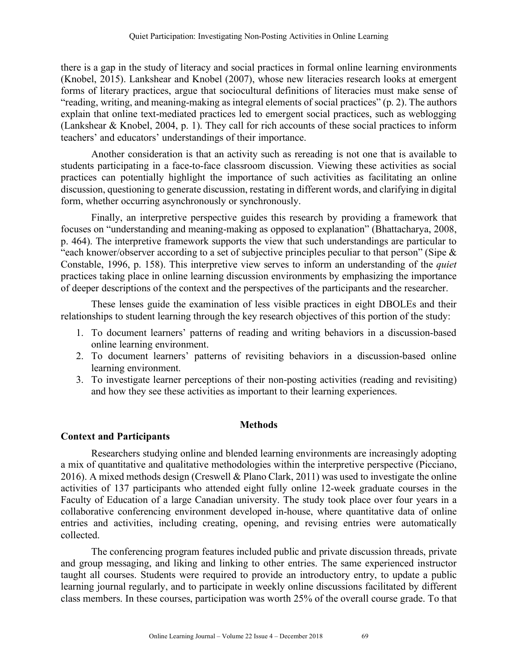there is a gap in the study of literacy and social practices in formal online learning environments (Knobel, 2015). Lankshear and Knobel (2007), whose new literacies research looks at emergent forms of literary practices, argue that sociocultural definitions of literacies must make sense of "reading, writing, and meaning-making as integral elements of social practices" (p. 2). The authors explain that online text-mediated practices led to emergent social practices, such as weblogging (Lankshear & Knobel, 2004, p. 1). They call for rich accounts of these social practices to inform teachers' and educators' understandings of their importance.

Another consideration is that an activity such as rereading is not one that is available to students participating in a face-to-face classroom discussion. Viewing these activities as social practices can potentially highlight the importance of such activities as facilitating an online discussion, questioning to generate discussion, restating in different words, and clarifying in digital form, whether occurring asynchronously or synchronously.

Finally, an interpretive perspective guides this research by providing a framework that focuses on "understanding and meaning-making as opposed to explanation" (Bhattacharya, 2008, p. 464). The interpretive framework supports the view that such understandings are particular to "each knower/observer according to a set of subjective principles peculiar to that person" (Sipe & Constable, 1996, p. 158). This interpretive view serves to inform an understanding of the *quiet* practices taking place in online learning discussion environments by emphasizing the importance of deeper descriptions of the context and the perspectives of the participants and the researcher.

These lenses guide the examination of less visible practices in eight DBOLEs and their relationships to student learning through the key research objectives of this portion of the study:

- 1. To document learners' patterns of reading and writing behaviors in a discussion-based online learning environment.
- 2. To document learners' patterns of revisiting behaviors in a discussion-based online learning environment.
- 3. To investigate learner perceptions of their non-posting activities (reading and revisiting) and how they see these activities as important to their learning experiences.

#### **Methods**

#### **Context and Participants**

Researchers studying online and blended learning environments are increasingly adopting a mix of quantitative and qualitative methodologies within the interpretive perspective (Picciano, 2016). A mixed methods design (Creswell & Plano Clark, 2011) was used to investigate the online activities of 137 participants who attended eight fully online 12-week graduate courses in the Faculty of Education of a large Canadian university. The study took place over four years in a collaborative conferencing environment developed in-house, where quantitative data of online entries and activities, including creating, opening, and revising entries were automatically collected.

The conferencing program features included public and private discussion threads, private and group messaging, and liking and linking to other entries. The same experienced instructor taught all courses. Students were required to provide an introductory entry, to update a public learning journal regularly, and to participate in weekly online discussions facilitated by different class members. In these courses, participation was worth 25% of the overall course grade. To that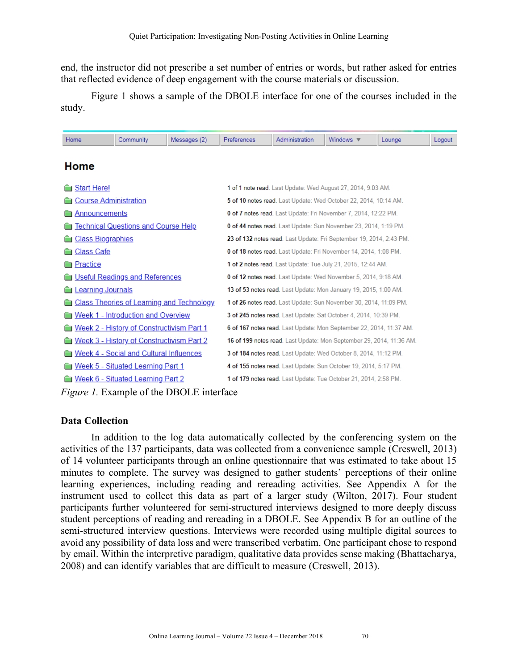end, the instructor did not prescribe a set number of entries or words, but rather asked for entries that reflected evidence of deep engagement with the course materials or discussion.

Figure 1 shows a sample of the DBOLE interface for one of the courses included in the study.

| Home                         | Community                                        | Messages (2) | Preferences                                                       | Administration                                                      | Windows $\overline{\mathbf{v}}$                                      | Lounge | Logout |  |  |  |
|------------------------------|--------------------------------------------------|--------------|-------------------------------------------------------------------|---------------------------------------------------------------------|----------------------------------------------------------------------|--------|--------|--|--|--|
| <b>Home</b>                  |                                                  |              |                                                                   |                                                                     |                                                                      |        |        |  |  |  |
|                              |                                                  |              |                                                                   |                                                                     |                                                                      |        |        |  |  |  |
| <b>Start Here!</b>           |                                                  |              |                                                                   |                                                                     | 1 of 1 note read. Last Update: Wed August 27, 2014, 9:03 AM.         |        |        |  |  |  |
| <b>Course Administration</b> |                                                  |              |                                                                   |                                                                     | 5 of 10 notes read. Last Update: Wed October 22, 2014, 10:14 AM.     |        |        |  |  |  |
| Announcements                |                                                  |              |                                                                   |                                                                     | 0 of 7 notes read. Last Update: Fri November 7, 2014, 12:22 PM.      |        |        |  |  |  |
|                              | <u> Technical Questions and Course Help</u>      |              |                                                                   |                                                                     | 0 of 44 notes read. Last Update: Sun November 23, 2014, 1:19 PM.     |        |        |  |  |  |
| <b>Class Biographies</b>     |                                                  |              |                                                                   | 23 of 132 notes read. Last Update: Fri September 19, 2014, 2:43 PM. |                                                                      |        |        |  |  |  |
| <u>Class Cafe</u>            |                                                  |              | 0 of 18 notes read. Last Update: Fri November 14, 2014, 1:08 PM.  |                                                                     |                                                                      |        |        |  |  |  |
| <b>Practice</b>              |                                                  |              | 1 of 2 notes read. Last Update: Tue July 21, 2015, 12:44 AM.      |                                                                     |                                                                      |        |        |  |  |  |
|                              | <b>Useful Readings and References</b>            |              | 0 of 12 notes read. Last Update: Wed November 5, 2014, 9:18 AM.   |                                                                     |                                                                      |        |        |  |  |  |
| Learning Journals            |                                                  |              | 13 of 53 notes read. Last Update: Mon January 19, 2015, 1:00 AM.  |                                                                     |                                                                      |        |        |  |  |  |
|                              | <b>Class Theories of Learning and Technology</b> |              | 1 of 26 notes read. Last Update: Sun November 30, 2014, 11:09 PM. |                                                                     |                                                                      |        |        |  |  |  |
|                              | Week 1 - Introduction and Overview               |              |                                                                   |                                                                     | 3 of 245 notes read. Last Update: Sat October 4, 2014, 10:39 PM.     |        |        |  |  |  |
|                              | <b>Week 2 - History of Constructivism Part 1</b> |              |                                                                   |                                                                     | 6 of 167 notes read. Last Update: Mon September 22, 2014, 11:37 AM.  |        |        |  |  |  |
|                              | <b>Week 3 - History of Constructivism Part 2</b> |              |                                                                   |                                                                     | 16 of 199 notes read. Last Update: Mon September 29, 2014, 11:36 AM. |        |        |  |  |  |
|                              | Week 4 - Social and Cultural Influences          |              |                                                                   |                                                                     | 3 of 184 notes read. Last Update: Wed October 8, 2014, 11:12 PM.     |        |        |  |  |  |
|                              | <u>Week 5 - Situated Learning Part 1</u>         |              |                                                                   | 4 of 155 notes read. Last Update: Sun October 19, 2014, 5:17 PM.    |                                                                      |        |        |  |  |  |
|                              | <u>Week 6 - Situated Learning Part 2</u>         |              |                                                                   |                                                                     | 1 of 179 notes read. Last Update: Tue October 21, 2014, 2:58 PM.     |        |        |  |  |  |

*Figure 1.* Example of the DBOLE interface

## **Data Collection**

In addition to the log data automatically collected by the conferencing system on the activities of the 137 participants, data was collected from a convenience sample (Creswell, 2013) of 14 volunteer participants through an online questionnaire that was estimated to take about 15 minutes to complete. The survey was designed to gather students' perceptions of their online learning experiences, including reading and rereading activities. See Appendix A for the instrument used to collect this data as part of a larger study (Wilton, 2017). Four student participants further volunteered for semi-structured interviews designed to more deeply discuss student perceptions of reading and rereading in a DBOLE. See Appendix B for an outline of the semi-structured interview questions. Interviews were recorded using multiple digital sources to avoid any possibility of data loss and were transcribed verbatim. One participant chose to respond by email. Within the interpretive paradigm, qualitative data provides sense making (Bhattacharya, 2008) and can identify variables that are difficult to measure (Creswell, 2013).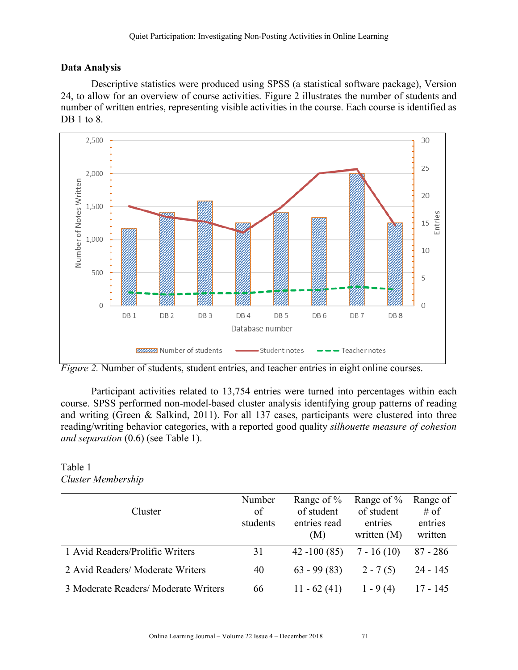## **Data Analysis**

Descriptive statistics were produced using SPSS (a statistical software package), Version 24, to allow for an overview of course activities. Figure 2 illustrates the number of students and number of written entries, representing visible activities in the course. Each course is identified as DB 1 to 8.



*Figure 2.* Number of students, student entries, and teacher entries in eight online courses.

Participant activities related to 13,754 entries were turned into percentages within each course. SPSS performed non-model-based cluster analysis identifying group patterns of reading and writing (Green & Salkind, 2011). For all 137 cases, participants were clustered into three reading/writing behavior categories, with a reported good quality *silhouette measure of cohesion and separation* (0.6) (see Table 1).

#### Table 1 *Cluster Membership*

| Cluster                              | Number<br>of<br>students | Range of $\%$<br>of student<br>entries read<br>(M) | Range of $\%$<br>of student<br>entries<br>written $(M)$ | Range of<br>$#$ of<br>entries<br>written |
|--------------------------------------|--------------------------|----------------------------------------------------|---------------------------------------------------------|------------------------------------------|
| 1 Avid Readers/Prolific Writers      | 31                       | $42 - 100(85)$                                     | $7 - 16(10)$                                            | $87 - 286$                               |
| 2 Avid Readers/Moderate Writers      | 40                       | $63 - 99(83)$                                      | $2 - 7(5)$                                              | $24 - 145$                               |
| 3 Moderate Readers/ Moderate Writers | 66                       | $11 - 62(41)$                                      | $1 - 9(4)$                                              | 17 - 145                                 |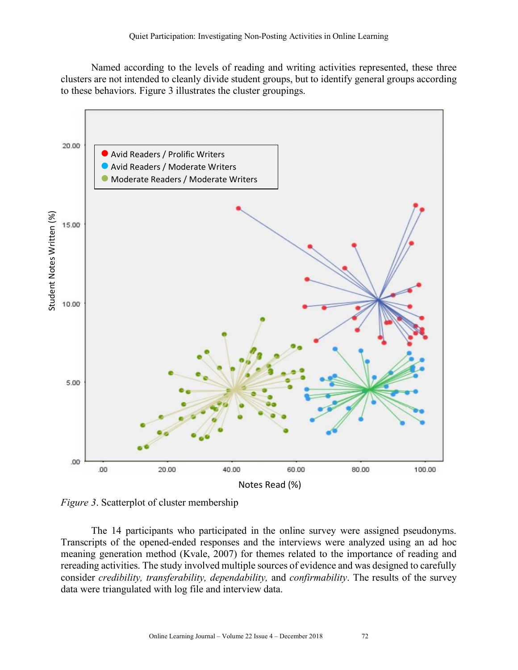Named according to the levels of reading and writing activities represented, these three clusters are not intended to cleanly divide student groups, but to identify general groups according to these behaviors. Figure 3 illustrates the cluster groupings.



*Figure 3*. Scatterplot of cluster membership

The 14 participants who participated in the online survey were assigned pseudonyms. Transcripts of the opened-ended responses and the interviews were analyzed using an ad hoc meaning generation method (Kvale, 2007) for themes related to the importance of reading and rereading activities. The study involved multiple sources of evidence and was designed to carefully consider *credibility, transferability, dependability,* and *confirmability*. The results of the survey data were triangulated with log file and interview data.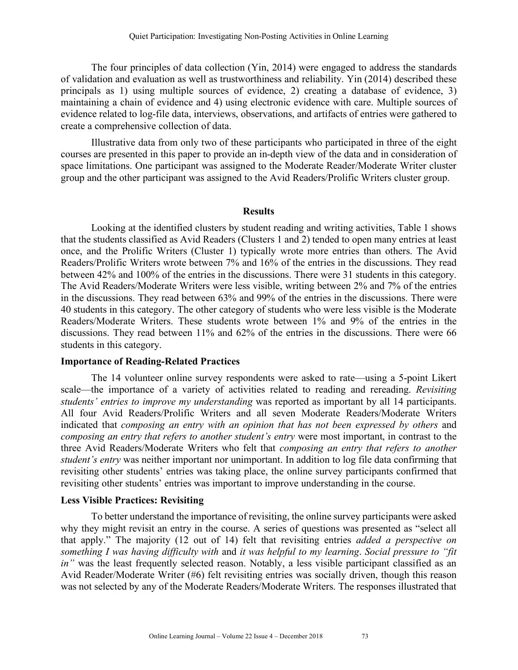The four principles of data collection (Yin, 2014) were engaged to address the standards of validation and evaluation as well as trustworthiness and reliability. Yin (2014) described these principals as 1) using multiple sources of evidence, 2) creating a database of evidence, 3) maintaining a chain of evidence and 4) using electronic evidence with care. Multiple sources of evidence related to log-file data, interviews, observations, and artifacts of entries were gathered to create a comprehensive collection of data.

Illustrative data from only two of these participants who participated in three of the eight courses are presented in this paper to provide an in-depth view of the data and in consideration of space limitations. One participant was assigned to the Moderate Reader/Moderate Writer cluster group and the other participant was assigned to the Avid Readers/Prolific Writers cluster group.

#### **Results**

Looking at the identified clusters by student reading and writing activities, Table 1 shows that the students classified as Avid Readers (Clusters 1 and 2) tended to open many entries at least once, and the Prolific Writers (Cluster 1) typically wrote more entries than others. The Avid Readers/Prolific Writers wrote between 7% and 16% of the entries in the discussions. They read between 42% and 100% of the entries in the discussions. There were 31 students in this category. The Avid Readers/Moderate Writers were less visible, writing between 2% and 7% of the entries in the discussions. They read between 63% and 99% of the entries in the discussions. There were 40 students in this category. The other category of students who were less visible is the Moderate Readers/Moderate Writers. These students wrote between 1% and 9% of the entries in the discussions. They read between 11% and 62% of the entries in the discussions. There were 66 students in this category.

#### **Importance of Reading-Related Practices**

The 14 volunteer online survey respondents were asked to rate—using a 5-point Likert scale—the importance of a variety of activities related to reading and rereading. *Revisiting students' entries to improve my understanding* was reported as important by all 14 participants. All four Avid Readers/Prolific Writers and all seven Moderate Readers/Moderate Writers indicated that *composing an entry with an opinion that has not been expressed by others* and *composing an entry that refers to another student's entry* were most important, in contrast to the three Avid Readers/Moderate Writers who felt that *composing an entry that refers to another student's entry* was neither important nor unimportant. In addition to log file data confirming that revisiting other students' entries was taking place, the online survey participants confirmed that revisiting other students' entries was important to improve understanding in the course.

#### **Less Visible Practices: Revisiting**

To better understand the importance of revisiting, the online survey participants were asked why they might revisit an entry in the course. A series of questions was presented as "select all that apply." The majority (12 out of 14) felt that revisiting entries *added a perspective on something I was having difficulty with* and *it was helpful to my learning*. *Social pressure to "fit in*" was the least frequently selected reason. Notably, a less visible participant classified as an Avid Reader/Moderate Writer (#6) felt revisiting entries was socially driven, though this reason was not selected by any of the Moderate Readers/Moderate Writers. The responses illustrated that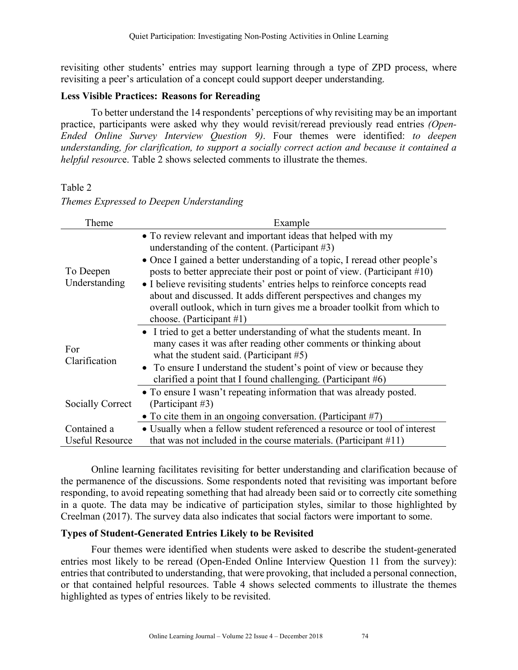revisiting other students' entries may support learning through a type of ZPD process, where revisiting a peer's articulation of a concept could support deeper understanding.

#### **Less Visible Practices: Reasons for Rereading**

To better understand the 14 respondents' perceptions of why revisiting may be an important practice, participants were asked why they would revisit/reread previously read entries *(Open-Ended Online Survey Interview Question 9)*. Four themes were identified: *to deepen understanding, for clarification, to support a socially correct action and because it contained a helpful resourc*e. Table 2 shows selected comments to illustrate the themes.

#### Table 2

|  | Themes Expressed to Deepen Understanding |
|--|------------------------------------------|
|  |                                          |

| Theme                  | Example                                                                       |
|------------------------|-------------------------------------------------------------------------------|
|                        | • To review relevant and important ideas that helped with my                  |
|                        | understanding of the content. (Participant $#3$ )                             |
|                        | • Once I gained a better understanding of a topic, I reread other people's    |
| To Deepen              | posts to better appreciate their post or point of view. (Participant $\#10$ ) |
| Understanding          | • I believe revisiting students' entries helps to reinforce concepts read     |
|                        | about and discussed. It adds different perspectives and changes my            |
|                        | overall outlook, which in turn gives me a broader toolkit from which to       |
|                        | choose. (Participant $#1$ )                                                   |
|                        | • I tried to get a better understanding of what the students meant. In        |
| For                    | many cases it was after reading other comments or thinking about              |
| Clarification          | what the student said. (Participant $#5$ )                                    |
|                        | • To ensure I understand the student's point of view or because they          |
|                        | clarified a point that I found challenging. (Participant $#6$ )               |
|                        | • To ensure I wasn't repeating information that was already posted.           |
| Socially Correct       | (Participant #3)                                                              |
|                        | • To cite them in an ongoing conversation. (Participant $#7$ )                |
| Contained a            | • Usually when a fellow student referenced a resource or tool of interest     |
| <b>Useful Resource</b> | that was not included in the course materials. (Participant $\#11$ )          |

Online learning facilitates revisiting for better understanding and clarification because of the permanence of the discussions. Some respondents noted that revisiting was important before responding, to avoid repeating something that had already been said or to correctly cite something in a quote. The data may be indicative of participation styles, similar to those highlighted by Creelman (2017). The survey data also indicates that social factors were important to some.

## **Types of Student-Generated Entries Likely to be Revisited**

Four themes were identified when students were asked to describe the student-generated entries most likely to be reread (Open-Ended Online Interview Question 11 from the survey): entries that contributed to understanding, that were provoking, that included a personal connection, or that contained helpful resources. Table 4 shows selected comments to illustrate the themes highlighted as types of entries likely to be revisited.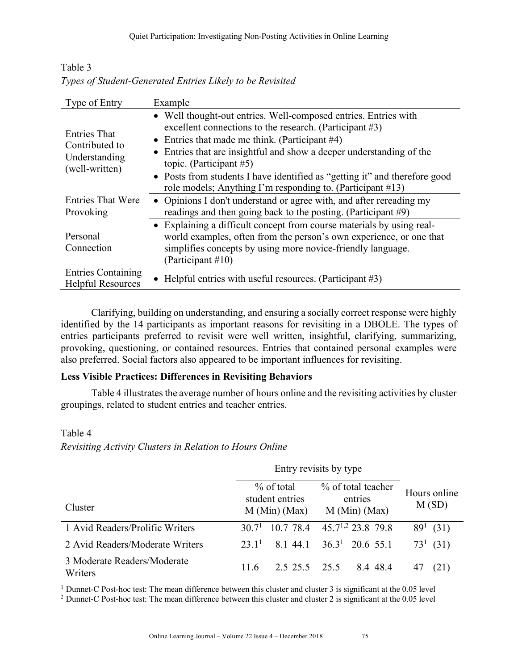Table 3 *Types of Student-Generated Entries Likely to be Revisited*

| Type of Entry                                                            | Example                                                                                                                                                                                                                                                                                                                                                                                                                           |
|--------------------------------------------------------------------------|-----------------------------------------------------------------------------------------------------------------------------------------------------------------------------------------------------------------------------------------------------------------------------------------------------------------------------------------------------------------------------------------------------------------------------------|
| <b>Entries That</b><br>Contributed to<br>Understanding<br>(well-written) | • Well thought-out entries. Well-composed entries. Entries with<br>excellent connections to the research. (Participant #3)<br>• Entries that made me think. (Participant $#4$ )<br>• Entries that are insightful and show a deeper understanding of the<br>topic. (Participant $#5$ )<br>• Posts from students I have identified as "getting it" and therefore good<br>role models; Anything I'm responding to. (Participant #13) |
| <b>Entries That Were</b><br>Provoking                                    | • Opinions I don't understand or agree with, and after rereading my<br>readings and then going back to the posting. (Participant #9)                                                                                                                                                                                                                                                                                              |
| Personal<br>Connection                                                   | • Explaining a difficult concept from course materials by using real-<br>world examples, often from the person's own experience, or one that<br>simplifies concepts by using more novice-friendly language.<br>(Participant #10)                                                                                                                                                                                                  |
| <b>Entries Containing</b><br><b>Helpful Resources</b>                    | • Helpful entries with useful resources. (Participant $#3$ )                                                                                                                                                                                                                                                                                                                                                                      |

Clarifying, building on understanding, and ensuring a socially correct response were highly identified by the 14 participants as important reasons for revisiting in a DBOLE. The types of entries participants preferred to revisit were well written, insightful, clarifying, summarizing, provoking, questioning, or contained resources. Entries that contained personal examples were also preferred. Social factors also appeared to be important influences for revisiting.

# **Less Visible Practices: Differences in Revisiting Behaviors**

Table 4 illustrates the average number of hours online and the revisiting activities by cluster groupings, related to student entries and teacher entries.

# Table 4

*Revisiting Activity Clusters in Relation to Hours Online*

| Cluster                                | % of total<br>student entries<br>M (Min) (Max) |               | % of total teacher<br>entries<br>M (Min) (Max) |                        | Hours online<br>M(SD) |  |
|----------------------------------------|------------------------------------------------|---------------|------------------------------------------------|------------------------|-----------------------|--|
| 1 Avid Readers/Prolific Writers        | 307 <sup>1</sup>                               | 10.7 78.4     |                                                | $45.7^{1,2}$ 23.8 79.8 | $89^1$ (31)           |  |
| 2 Avid Readers/Moderate Writers        | 231 <sup>1</sup>                               | 8.1 44.1      |                                                | $36.31$ 20.6 55.1      | $73^1$ (31)           |  |
| 3 Moderate Readers/Moderate<br>Writers | 11.6                                           | 2.5 25.5 25.5 |                                                | 8.4 48.4               | (21)<br>47            |  |

 $\overline{1}$  Dunnet-C Post-hoc test: The mean difference between this cluster and cluster 3 is significant at the 0.05 level

<sup>2</sup> Dunnet-C Post-hoc test: The mean difference between this cluster and cluster 2 is significant at the 0.05 level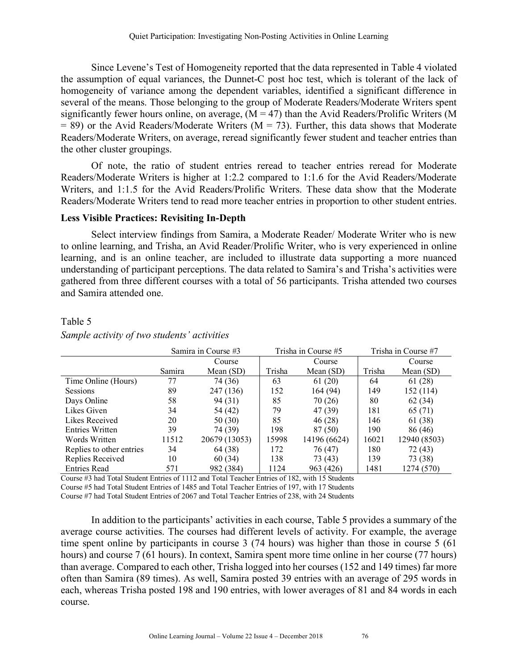Since Levene's Test of Homogeneity reported that the data represented in Table 4 violated the assumption of equal variances, the Dunnet-C post hoc test, which is tolerant of the lack of homogeneity of variance among the dependent variables, identified a significant difference in several of the means. Those belonging to the group of Moderate Readers/Moderate Writers spent significantly fewer hours online, on average,  $(M = 47)$  than the Avid Readers/Prolific Writers (M  $= 89$ ) or the Avid Readers/Moderate Writers (M  $= 73$ ). Further, this data shows that Moderate Readers/Moderate Writers, on average, reread significantly fewer student and teacher entries than the other cluster groupings.

Of note, the ratio of student entries reread to teacher entries reread for Moderate Readers/Moderate Writers is higher at 1:2.2 compared to 1:1.6 for the Avid Readers/Moderate Writers, and 1:1.5 for the Avid Readers/Prolific Writers. These data show that the Moderate Readers/Moderate Writers tend to read more teacher entries in proportion to other student entries.

#### **Less Visible Practices: Revisiting In-Depth**

Select interview findings from Samira, a Moderate Reader/ Moderate Writer who is new to online learning, and Trisha, an Avid Reader/Prolific Writer, who is very experienced in online learning, and is an online teacher, are included to illustrate data supporting a more nuanced understanding of participant perceptions. The data related to Samira's and Trisha's activities were gathered from three different courses with a total of 56 participants. Trisha attended two courses and Samira attended one.

# Table 5 *Sample activity of two students' activities*

|                          |        | Samira in Course #3 |        | Trisha in Course #5 | Trisha in Course #7 |              |  |
|--------------------------|--------|---------------------|--------|---------------------|---------------------|--------------|--|
|                          |        | Course              |        | Course              |                     | Course       |  |
|                          | Samira | Mean $(SD)$         | Trisha | Mean $(SD)$         | Trisha              | Mean $(SD)$  |  |
| Time Online (Hours)      | 77     | 74 (36)             | 63     | 61(20)              | 64                  | 61(28)       |  |
| <b>Sessions</b>          | 89     | 247 (136)           | 152    | 164 (94)            | 149                 | 152 (114)    |  |
| Days Online              | 58     | 94 (31)             | 85     | 70(26)              | 80                  | 62(34)       |  |
| Likes Given              | 34     | 54 (42)             | 79     | 47 (39)             | 181                 | 65 (71)      |  |
| Likes Received           | 20     | 50 (30)             | 85     | 46 (28)             | 146                 | 61 (38)      |  |
| Entries Written          | 39     | 74 (39)             | 198    | 87 (50)             | 190                 | 86 (46)      |  |
| Words Written            | 11512  | 20679 (13053)       | 15998  | 14196 (6624)        | 16021               | 12940 (8503) |  |
| Replies to other entries | 34     | 64 (38)             | 172    | 76 (47)             | 180                 | 72 (43)      |  |
| Replies Received         | 10     | 60(34)              | 138    | 73 (43)             | 139                 | 73 (38)      |  |
| <b>Entries Read</b>      | 571    | 982 (384)           | 1124   | 963 (426)           | 1481                | 1274 (570)   |  |

Course #3 had Total Student Entries of 1112 and Total Teacher Entries of 182, with 15 Students

Course #5 had Total Student Entries of 1485 and Total Teacher Entries of 197, with 17 Students

Course #7 had Total Student Entries of 2067 and Total Teacher Entries of 238, with 24 Students

In addition to the participants' activities in each course, Table 5 provides a summary of the average course activities. The courses had different levels of activity. For example, the average time spent online by participants in course 3 (74 hours) was higher than those in course 5 (61 hours) and course 7 (61 hours). In context, Samira spent more time online in her course (77 hours) than average. Compared to each other, Trisha logged into her courses (152 and 149 times) far more often than Samira (89 times). As well, Samira posted 39 entries with an average of 295 words in each, whereas Trisha posted 198 and 190 entries, with lower averages of 81 and 84 words in each course.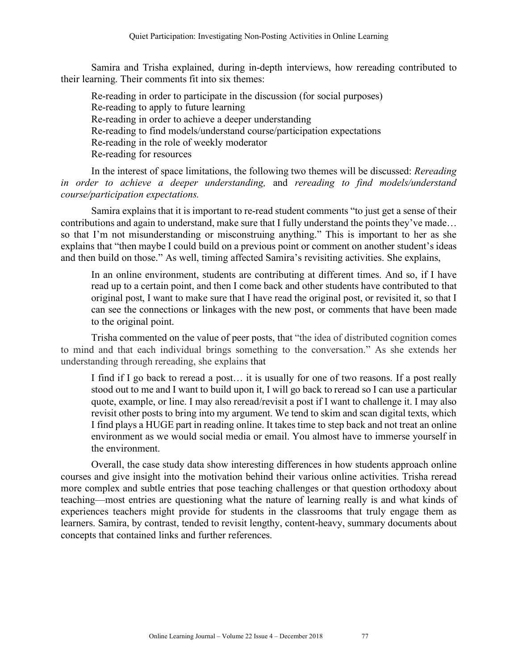Samira and Trisha explained, during in-depth interviews, how rereading contributed to their learning. Their comments fit into six themes:

Re-reading in order to participate in the discussion (for social purposes) Re-reading to apply to future learning Re-reading in order to achieve a deeper understanding Re-reading to find models/understand course/participation expectations Re-reading in the role of weekly moderator Re-reading for resources

In the interest of space limitations, the following two themes will be discussed: *Rereading in order to achieve a deeper understanding,* and *rereading to find models/understand course/participation expectations.*

Samira explains that it is important to re-read student comments "to just get a sense of their contributions and again to understand, make sure that I fully understand the points they've made… so that I'm not misunderstanding or misconstruing anything." This is important to her as she explains that "then maybe I could build on a previous point or comment on another student's ideas and then build on those." As well, timing affected Samira's revisiting activities. She explains,

In an online environment, students are contributing at different times. And so, if I have read up to a certain point, and then I come back and other students have contributed to that original post, I want to make sure that I have read the original post, or revisited it, so that I can see the connections or linkages with the new post, or comments that have been made to the original point.

Trisha commented on the value of peer posts, that "the idea of distributed cognition comes to mind and that each individual brings something to the conversation." As she extends her understanding through rereading, she explains that

I find if I go back to reread a post… it is usually for one of two reasons. If a post really stood out to me and I want to build upon it, I will go back to reread so I can use a particular quote, example, or line. I may also reread/revisit a post if I want to challenge it. I may also revisit other posts to bring into my argument. We tend to skim and scan digital texts, which I find plays a HUGE part in reading online. It takes time to step back and not treat an online environment as we would social media or email. You almost have to immerse yourself in the environment.

Overall, the case study data show interesting differences in how students approach online courses and give insight into the motivation behind their various online activities. Trisha reread more complex and subtle entries that pose teaching challenges or that question orthodoxy about teaching—most entries are questioning what the nature of learning really is and what kinds of experiences teachers might provide for students in the classrooms that truly engage them as learners. Samira, by contrast, tended to revisit lengthy, content-heavy, summary documents about concepts that contained links and further references.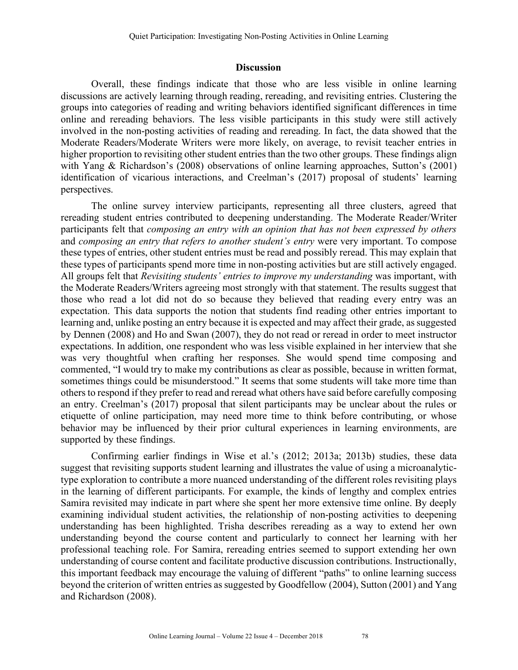#### **Discussion**

Overall, these findings indicate that those who are less visible in online learning discussions are actively learning through reading, rereading, and revisiting entries. Clustering the groups into categories of reading and writing behaviors identified significant differences in time online and rereading behaviors. The less visible participants in this study were still actively involved in the non-posting activities of reading and rereading. In fact, the data showed that the Moderate Readers/Moderate Writers were more likely, on average, to revisit teacher entries in higher proportion to revisiting other student entries than the two other groups. These findings align with Yang & Richardson's (2008) observations of online learning approaches, Sutton's (2001) identification of vicarious interactions, and Creelman's (2017) proposal of students' learning perspectives.

The online survey interview participants, representing all three clusters, agreed that rereading student entries contributed to deepening understanding. The Moderate Reader/Writer participants felt that *composing an entry with an opinion that has not been expressed by others* and *composing an entry that refers to another student's entry* were very important. To compose these types of entries, other student entries must be read and possibly reread. This may explain that these types of participants spend more time in non-posting activities but are still actively engaged. All groups felt that *Revisiting students' entries to improve my understanding* was important, with the Moderate Readers/Writers agreeing most strongly with that statement. The results suggest that those who read a lot did not do so because they believed that reading every entry was an expectation. This data supports the notion that students find reading other entries important to learning and, unlike posting an entry because it is expected and may affect their grade, as suggested by Dennen (2008) and Ho and Swan (2007), they do not read or reread in order to meet instructor expectations. In addition, one respondent who was less visible explained in her interview that she was very thoughtful when crafting her responses. She would spend time composing and commented, "I would try to make my contributions as clear as possible, because in written format, sometimes things could be misunderstood." It seems that some students will take more time than others to respond if they prefer to read and reread what others have said before carefully composing an entry. Creelman's (2017) proposal that silent participants may be unclear about the rules or etiquette of online participation, may need more time to think before contributing, or whose behavior may be influenced by their prior cultural experiences in learning environments, are supported by these findings.

Confirming earlier findings in Wise et al.'s (2012; 2013a; 2013b) studies, these data suggest that revisiting supports student learning and illustrates the value of using a microanalytictype exploration to contribute a more nuanced understanding of the different roles revisiting plays in the learning of different participants. For example, the kinds of lengthy and complex entries Samira revisited may indicate in part where she spent her more extensive time online. By deeply examining individual student activities, the relationship of non-posting activities to deepening understanding has been highlighted. Trisha describes rereading as a way to extend her own understanding beyond the course content and particularly to connect her learning with her professional teaching role. For Samira, rereading entries seemed to support extending her own understanding of course content and facilitate productive discussion contributions. Instructionally, this important feedback may encourage the valuing of different "paths" to online learning success beyond the criterion of written entries as suggested by Goodfellow (2004), Sutton (2001) and Yang and Richardson (2008).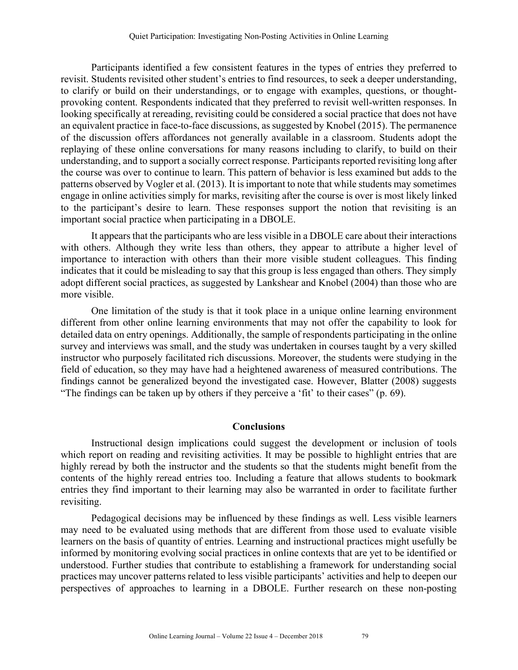Participants identified a few consistent features in the types of entries they preferred to revisit. Students revisited other student's entries to find resources, to seek a deeper understanding, to clarify or build on their understandings, or to engage with examples, questions, or thoughtprovoking content. Respondents indicated that they preferred to revisit well-written responses. In looking specifically at rereading, revisiting could be considered a social practice that does not have an equivalent practice in face-to-face discussions, as suggested by Knobel (2015). The permanence of the discussion offers affordances not generally available in a classroom. Students adopt the replaying of these online conversations for many reasons including to clarify, to build on their understanding, and to support a socially correct response. Participants reported revisiting long after the course was over to continue to learn. This pattern of behavior is less examined but adds to the patterns observed by Vogler et al. (2013). It is important to note that while students may sometimes engage in online activities simply for marks, revisiting after the course is over is most likely linked to the participant's desire to learn. These responses support the notion that revisiting is an important social practice when participating in a DBOLE.

It appears that the participants who are less visible in a DBOLE care about their interactions with others. Although they write less than others, they appear to attribute a higher level of importance to interaction with others than their more visible student colleagues. This finding indicates that it could be misleading to say that this group is less engaged than others. They simply adopt different social practices, as suggested by Lankshear and Knobel (2004) than those who are more visible.

One limitation of the study is that it took place in a unique online learning environment different from other online learning environments that may not offer the capability to look for detailed data on entry openings. Additionally, the sample of respondents participating in the online survey and interviews was small, and the study was undertaken in courses taught by a very skilled instructor who purposely facilitated rich discussions. Moreover, the students were studying in the field of education, so they may have had a heightened awareness of measured contributions. The findings cannot be generalized beyond the investigated case. However, Blatter (2008) suggests "The findings can be taken up by others if they perceive a 'fit' to their cases" (p. 69).

## **Conclusions**

Instructional design implications could suggest the development or inclusion of tools which report on reading and revisiting activities. It may be possible to highlight entries that are highly reread by both the instructor and the students so that the students might benefit from the contents of the highly reread entries too. Including a feature that allows students to bookmark entries they find important to their learning may also be warranted in order to facilitate further revisiting.

Pedagogical decisions may be influenced by these findings as well. Less visible learners may need to be evaluated using methods that are different from those used to evaluate visible learners on the basis of quantity of entries. Learning and instructional practices might usefully be informed by monitoring evolving social practices in online contexts that are yet to be identified or understood. Further studies that contribute to establishing a framework for understanding social practices may uncover patterns related to less visible participants' activities and help to deepen our perspectives of approaches to learning in a DBOLE. Further research on these non-posting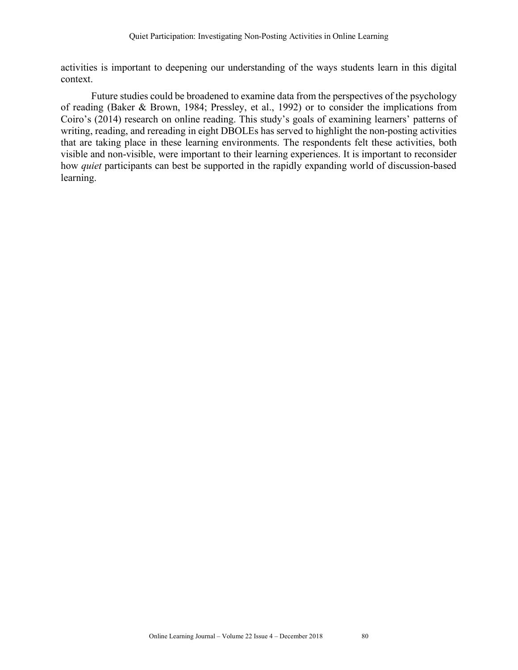activities is important to deepening our understanding of the ways students learn in this digital context.

Future studies could be broadened to examine data from the perspectives of the psychology of reading (Baker & Brown, 1984; Pressley, et al., 1992) or to consider the implications from Coiro's (2014) research on online reading. This study's goals of examining learners' patterns of writing, reading, and rereading in eight DBOLEs has served to highlight the non-posting activities that are taking place in these learning environments. The respondents felt these activities, both visible and non-visible, were important to their learning experiences. It is important to reconsider how *quiet* participants can best be supported in the rapidly expanding world of discussion-based learning.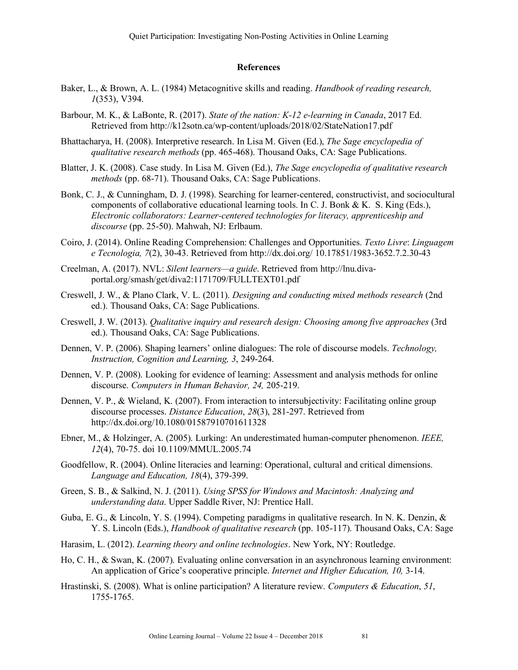#### **References**

- Baker, L., & Brown, A. L. (1984) Metacognitive skills and reading. *Handbook of reading research, 1*(353), V394.
- Barbour, M. K., & LaBonte, R. (2017). *State of the nation: K-12 e-learning in Canada*, 2017 Ed. Retrieved from http://k12sotn.ca/wp-content/uploads/2018/02/StateNation17.pdf
- Bhattacharya, H. (2008). Interpretive research. In Lisa M. Given (Ed.), *The Sage encyclopedia of qualitative research methods* (pp. 465-468). Thousand Oaks, CA: Sage Publications.
- Blatter, J. K. (2008). Case study. In Lisa M. Given (Ed.), *The Sage encyclopedia of qualitative research methods* (pp. 68-71). Thousand Oaks, CA: Sage Publications.
- Bonk, C. J., & Cunningham, D. J. (1998). Searching for learner-centered, constructivist, and sociocultural components of collaborative educational learning tools. In C. J. Bonk & K. S. King (Eds.), *Electronic collaborators: Learner-centered technologies for literacy, apprenticeship and discourse* (pp. 25-50). Mahwah, NJ: Erlbaum.
- Coiro, J. (2014). Online Reading Comprehension: Challenges and Opportunities. *Texto Livre*: *Linguagem e Tecnologia, 7*(2), 30-43. Retrieved from http://dx.doi.org/ 10.17851/1983-3652.7.2.30-43
- Creelman, A. (2017). NVL: *Silent learners—a guide*. Retrieved from http://lnu.divaportal.org/smash/get/diva2:1171709/FULLTEXT01.pdf
- Creswell, J. W., & Plano Clark, V. L. (2011). *Designing and conducting mixed methods research* (2nd ed.). Thousand Oaks, CA: Sage Publications.
- Creswell, J. W. (2013). *Qualitative inquiry and research design: Choosing among five approaches* (3rd ed.). Thousand Oaks, CA: Sage Publications.
- Dennen, V. P. (2006). Shaping learners' online dialogues: The role of discourse models. *Technology, Instruction, Cognition and Learning, 3*, 249-264.
- Dennen, V. P. (2008). Looking for evidence of learning: Assessment and analysis methods for online discourse. *Computers in Human Behavior, 24,* 205-219.
- Dennen, V. P., & Wieland, K. (2007). From interaction to intersubjectivity: Facilitating online group discourse processes. *Distance Education*, *28*(3), 281-297. Retrieved from http://dx.doi.org/10.1080/01587910701611328
- Ebner, M., & Holzinger, A. (2005). Lurking: An underestimated human-computer phenomenon. *IEEE, 12*(4), 70-75. doi 10.1109/MMUL.2005.74
- Goodfellow, R. (2004). Online literacies and learning: Operational, cultural and critical dimensions. *Language and Education, 18*(4), 379-399.
- Green, S. B., & Salkind, N. J. (2011). *Using SPSS for Windows and Macintosh: Analyzing and understanding data*. Upper Saddle River, NJ: Prentice Hall.
- Guba, E. G., & Lincoln, Y. S. (1994). Competing paradigms in qualitative research. In N. K. Denzin, & Y. S. Lincoln (Eds.), *Handbook of qualitative research* (pp. 105-117). Thousand Oaks, CA: Sage
- Harasim, L. (2012). *Learning theory and online technologies*. New York, NY: Routledge.
- Ho, C. H., & Swan, K. (2007). Evaluating online conversation in an asynchronous learning environment: An application of Grice's cooperative principle. *Internet and Higher Education, 10,* 3-14.
- Hrastinski, S. (2008). What is online participation? A literature review. *Computers & Education*, *51*, 1755-1765.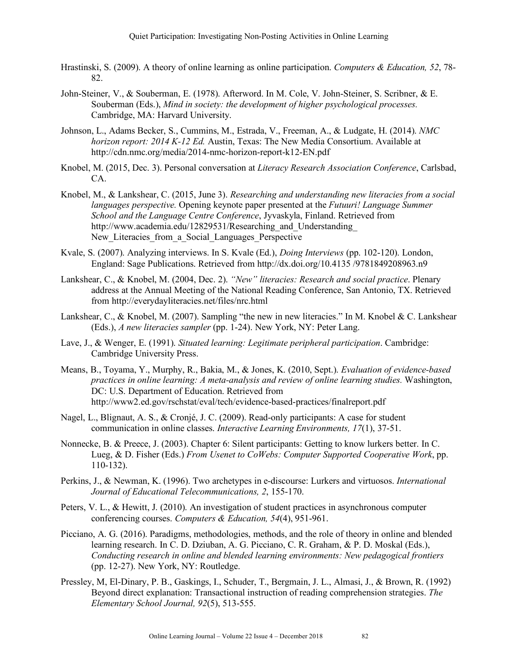- Hrastinski, S. (2009). A theory of online learning as online participation. *Computers & Education, 52*, 78- 82.
- John-Steiner, V., & Souberman, E. (1978). Afterword. In M. Cole, V. John-Steiner, S. Scribner, & E. Souberman (Eds.), *Mind in society: the development of higher psychological processes.* Cambridge, MA: Harvard University.
- Johnson, L., Adams Becker, S., Cummins, M., Estrada, V., Freeman, A., & Ludgate, H. (2014). *NMC horizon report: 2014 K-12 Ed.* Austin, Texas: The New Media Consortium. Available at http://cdn.nmc.org/media/2014-nmc-horizon-report-k12-EN.pdf
- Knobel, M. (2015, Dec. 3). Personal conversation at *Literacy Research Association Conference*, Carlsbad, CA.
- Knobel, M., & Lankshear, C. (2015, June 3). *Researching and understanding new literacies from a social languages perspective.* Opening keynote paper presented at the *Futuuri! Language Summer School and the Language Centre Conference*, Jyvaskyla, Finland. Retrieved from http://www.academia.edu/12829531/Researching and Understanding New Literacies from a Social Languages Perspective
- Kvale, S. (2007). Analyzing interviews. In S. Kvale (Ed.), *Doing Interviews* (pp. 102-120). London, England: Sage Publications. Retrieved from http://dx.doi.org/10.4135 /9781849208963.n9
- Lankshear, C., & Knobel, M. (2004, Dec. 2). *"New" literacies: Research and social practice*. Plenary address at the Annual Meeting of the National Reading Conference, San Antonio, TX. Retrieved from http://everydayliteracies.net/files/nrc.html
- Lankshear, C., & Knobel, M. (2007). Sampling "the new in new literacies." In M. Knobel & C. Lankshear (Eds.), *A new literacies sampler* (pp. 1-24). New York, NY: Peter Lang.
- Lave, J., & Wenger, E. (1991). *Situated learning: Legitimate peripheral participation*. Cambridge: Cambridge University Press.
- Means, B., Toyama, Y., Murphy, R., Bakia, M., & Jones, K. (2010, Sept.). *Evaluation of evidence-based practices in online learning: A meta-analysis and review of online learning studies.* Washington, DC: U.S. Department of Education. Retrieved from http://www2.ed.gov/rschstat/eval/tech/evidence-based-practices/finalreport.pdf
- Nagel, L., Blignaut, A. S., & Cronjé, J. C. (2009). Read-only participants: A case for student communication in online classes. *Interactive Learning Environments, 17*(1), 37-51.
- Nonnecke, B. & Preece, J. (2003). Chapter 6: Silent participants: Getting to know lurkers better. In C. Lueg, & D. Fisher (Eds.) *From Usenet to CoWebs: Computer Supported Cooperative Work*, pp. 110-132).
- Perkins, J., & Newman, K. (1996). Two archetypes in e-discourse: Lurkers and virtuosos. *International Journal of Educational Telecommunications, 2*, 155-170.
- Peters, V. L., & Hewitt, J. (2010). An investigation of student practices in asynchronous computer conferencing courses. *Computers & Education, 54*(4), 951-961.
- Picciano, A. G. (2016). Paradigms, methodologies, methods, and the role of theory in online and blended learning research. In C. D. Dziuban, A. G. Picciano, C. R. Graham, & P. D. Moskal (Eds.), *Conducting research in online and blended learning environments: New pedagogical frontiers* (pp. 12-27). New York, NY: Routledge.
- Pressley, M, El-Dinary, P. B., Gaskings, I., Schuder, T., Bergmain, J. L., Almasi, J., & Brown, R. (1992) Beyond direct explanation: Transactional instruction of reading comprehension strategies. *The Elementary School Journal, 92*(5), 513-555.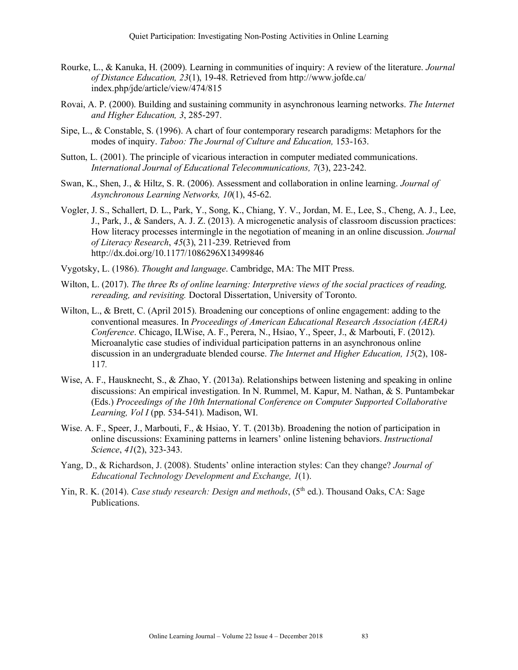- Rourke, L., & Kanuka, H. (2009). Learning in communities of inquiry: A review of the literature. *Journal of Distance Education, 23*(1), 19-48. Retrieved from http://www.jofde.ca/ index.php/jde/article/view/474/815
- Rovai, A. P. (2000). Building and sustaining community in asynchronous learning networks. *The Internet and Higher Education, 3*, 285-297.
- Sipe, L., & Constable, S. (1996). A chart of four contemporary research paradigms: Metaphors for the modes of inquiry. *Taboo: The Journal of Culture and Education,* 153-163.
- Sutton, L. (2001). The principle of vicarious interaction in computer mediated communications. *International Journal of Educational Telecommunications, 7*(3), 223-242.
- Swan, K., Shen, J., & Hiltz, S. R. (2006). Assessment and collaboration in online learning. *Journal of Asynchronous Learning Networks, 10*(1), 45-62.
- Vogler, J. S., Schallert, D. L., Park, Y., Song, K., Chiang, Y. V., Jordan, M. E., Lee, S., Cheng, A. J., Lee, J., Park, J., & Sanders, A. J. Z. (2013). A microgenetic analysis of classroom discussion practices: How literacy processes intermingle in the negotiation of meaning in an online discussion. *Journal of Literacy Research*, *45*(3), 211-239. Retrieved from http://dx.doi.org/10.1177/1086296X13499846
- Vygotsky, L. (1986). *Thought and language*. Cambridge, MA: The MIT Press.
- Wilton, L. (2017). *The three Rs of online learning: Interpretive views of the social practices of reading, rereading, and revisiting.* Doctoral Dissertation, University of Toronto.
- Wilton, L., & Brett, C. (April 2015). Broadening our conceptions of online engagement: adding to the conventional measures. In *Proceedings of American Educational Research Association (AERA) Conference*. Chicago, ILWise, A. F., Perera, N., Hsiao, Y., Speer, J., & Marbouti, F. (2012). Microanalytic case studies of individual participation patterns in an asynchronous online discussion in an undergraduate blended course. *The Internet and Higher Education, 15*(2), 108- 117*.*
- Wise, A. F., Hausknecht, S., & Zhao, Y. (2013a). Relationships between listening and speaking in online discussions: An empirical investigation. In N. Rummel, M. Kapur, M. Nathan, & S. Puntambekar (Eds.) *Proceedings of the 10th International Conference on Computer Supported Collaborative Learning, Vol I* (pp. 534-541). Madison, WI.
- Wise. A. F., Speer, J., Marbouti, F., & Hsiao, Y. T. (2013b). Broadening the notion of participation in online discussions: Examining patterns in learners' online listening behaviors. *Instructional Science*, *41*(2), 323-343.
- Yang, D., & Richardson, J. (2008). Students' online interaction styles: Can they change? *Journal of Educational Technology Development and Exchange, 1*(1).
- Yin, R. K. (2014). *Case study research: Design and methods*, (5<sup>th</sup> ed.). Thousand Oaks, CA: Sage Publications.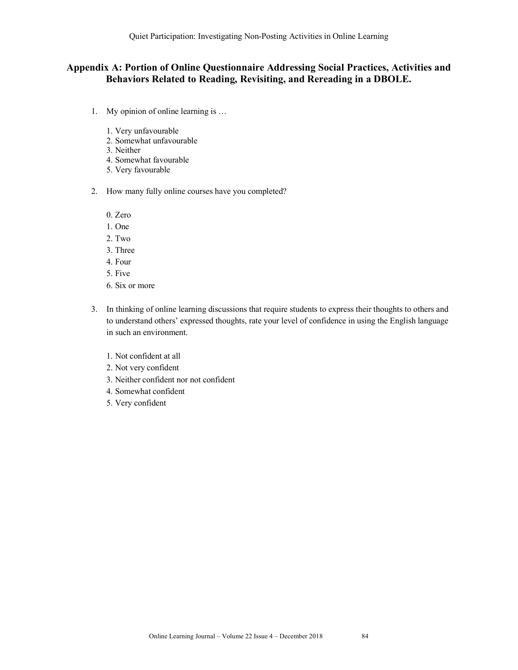## **Appendix A: Portion of Online Questionnaire Addressing Social Practices, Activities and Behaviors Related to Reading, Revisiting, and Rereading in a DBOLE.**

- 1. My opinion of online learning is …
	- 1. Very unfavourable
	- 2. Somewhat unfavourable
	- 3. Neither
	- 4. Somewhat favourable
	- 5. Very favourable
- 2. How many fully online courses have you completed?
	- 0. Zero
	- 1. One
	- 2. Two
	- 3. Three
	- 4. Four
	- 5. Five
	- 6. Six or more
- 3. In thinking of online learning discussions that require students to express their thoughts to others and to understand others' expressed thoughts, rate your level of confidence in using the English language in such an environment.
	- 1. Not confident at all
	- 2. Not very confident
	- 3. Neither confident nor not confident
	- 4. Somewhat confident
	- 5. Very confident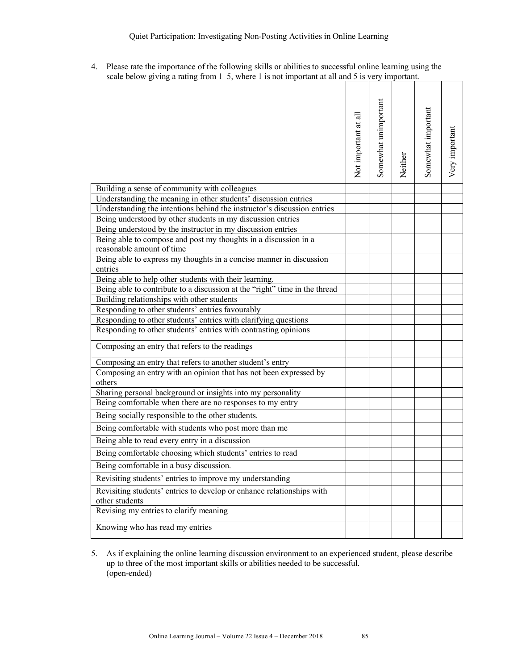4. Please rate the importance of the following skills or abilities to successful online learning using the scale below giving a rating from 1–5, where 1 is not important at all and 5 is very important.

|                                                                                              | Not important at all | Somewhat unimportant | Neither | Somewhat important | Very important |
|----------------------------------------------------------------------------------------------|----------------------|----------------------|---------|--------------------|----------------|
| Building a sense of community with colleagues                                                |                      |                      |         |                    |                |
| Understanding the meaning in other students' discussion entries                              |                      |                      |         |                    |                |
| Understanding the intentions behind the instructor's discussion entries                      |                      |                      |         |                    |                |
| Being understood by other students in my discussion entries                                  |                      |                      |         |                    |                |
| Being understood by the instructor in my discussion entries                                  |                      |                      |         |                    |                |
| Being able to compose and post my thoughts in a discussion in a<br>reasonable amount of time |                      |                      |         |                    |                |
| Being able to express my thoughts in a concise manner in discussion<br>entries               |                      |                      |         |                    |                |
| Being able to help other students with their learning.                                       |                      |                      |         |                    |                |
| Being able to contribute to a discussion at the "right" time in the thread                   |                      |                      |         |                    |                |
| Building relationships with other students                                                   |                      |                      |         |                    |                |
| Responding to other students' entries favourably                                             |                      |                      |         |                    |                |
| Responding to other students' entries with clarifying questions                              |                      |                      |         |                    |                |
| Responding to other students' entries with contrasting opinions                              |                      |                      |         |                    |                |
| Composing an entry that refers to the readings                                               |                      |                      |         |                    |                |
| Composing an entry that refers to another student's entry                                    |                      |                      |         |                    |                |
| Composing an entry with an opinion that has not been expressed by<br>others                  |                      |                      |         |                    |                |
| Sharing personal background or insights into my personality                                  |                      |                      |         |                    |                |
| Being comfortable when there are no responses to my entry                                    |                      |                      |         |                    |                |
| Being socially responsible to the other students.                                            |                      |                      |         |                    |                |
| Being comfortable with students who post more than me                                        |                      |                      |         |                    |                |
| Being able to read every entry in a discussion                                               |                      |                      |         |                    |                |
| Being comfortable choosing which students' entries to read                                   |                      |                      |         |                    |                |
| Being comfortable in a busy discussion.                                                      |                      |                      |         |                    |                |
| Revisiting students' entries to improve my understanding                                     |                      |                      |         |                    |                |
| Revisiting students' entries to develop or enhance relationships with<br>other students      |                      |                      |         |                    |                |
| Revising my entries to clarify meaning                                                       |                      |                      |         |                    |                |
| Knowing who has read my entries                                                              |                      |                      |         |                    |                |

5. As if explaining the online learning discussion environment to an experienced student, please describe up to three of the most important skills or abilities needed to be successful. (open-ended)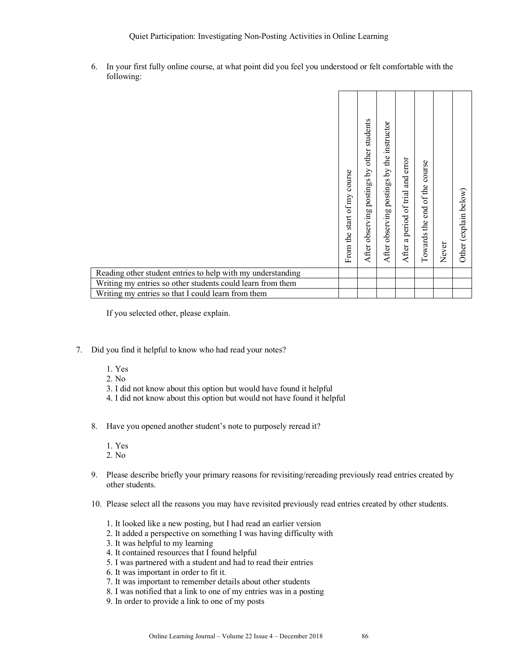Quiet Participation: Investigating Non-Posting Activities in Online Learning

6. In your first fully online course, at what point did you feel you understood or felt comfortable with the following:

|                                                             | From the start of my course | After observing postings by other students | After observing postings by the instructor | error<br>After a period of trial and | course<br>end of the<br>the<br>Towards | Never | Other (explain below) |
|-------------------------------------------------------------|-----------------------------|--------------------------------------------|--------------------------------------------|--------------------------------------|----------------------------------------|-------|-----------------------|
| Reading other student entries to help with my understanding |                             |                                            |                                            |                                      |                                        |       |                       |
| Writing my entries so other students could learn from them  |                             |                                            |                                            |                                      |                                        |       |                       |
| Writing my entries so that I could learn from them          |                             |                                            |                                            |                                      |                                        |       |                       |

If you selected other, please explain.

- 7. Did you find it helpful to know who had read your notes?
	- 1. Yes
	- 2. No
	- 3. I did not know about this option but would have found it helpful
	- 4. I did not know about this option but would not have found it helpful
	- 8. Have you opened another student's note to purposely reread it?
		- 1. Yes
		- 2. No
	- 9. Please describe briefly your primary reasons for revisiting/rereading previously read entries created by other students.
	- 10. Please select all the reasons you may have revisited previously read entries created by other students.
		- 1. It looked like a new posting, but I had read an earlier version
		- 2. It added a perspective on something I was having difficulty with
		- 3. It was helpful to my learning
		- 4. It contained resources that I found helpful
		- 5. I was partnered with a student and had to read their entries
		- 6. It was important in order to fit it.
		- 7. It was important to remember details about other students
		- 8. I was notified that a link to one of my entries was in a posting
		- 9. In order to provide a link to one of my posts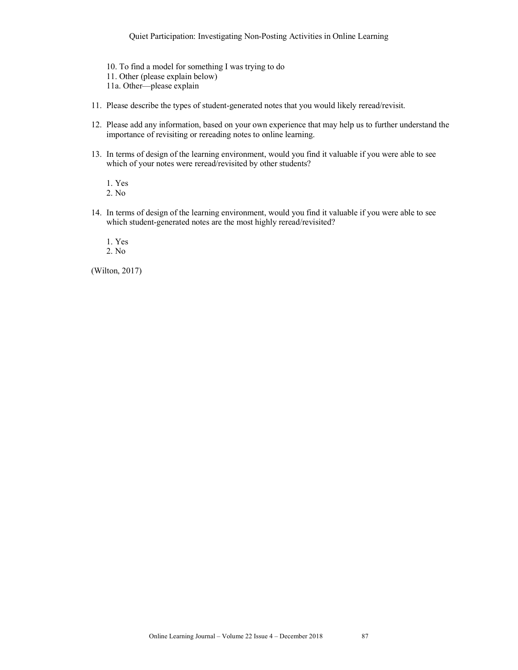Quiet Participation: Investigating Non-Posting Activities in Online Learning

- 10. To find a model for something I was trying to do 11. Other (please explain below) 11a. Other—please explain
- 11. Please describe the types of student-generated notes that you would likely reread/revisit.
- 12. Please add any information, based on your own experience that may help us to further understand the importance of revisiting or rereading notes to online learning.
- 13. In terms of design of the learning environment, would you find it valuable if you were able to see which of your notes were reread/revisited by other students?

1. Yes 2. No

14. In terms of design of the learning environment, would you find it valuable if you were able to see which student-generated notes are the most highly reread/revisited?

1. Yes

2. No

(Wilton, 2017)